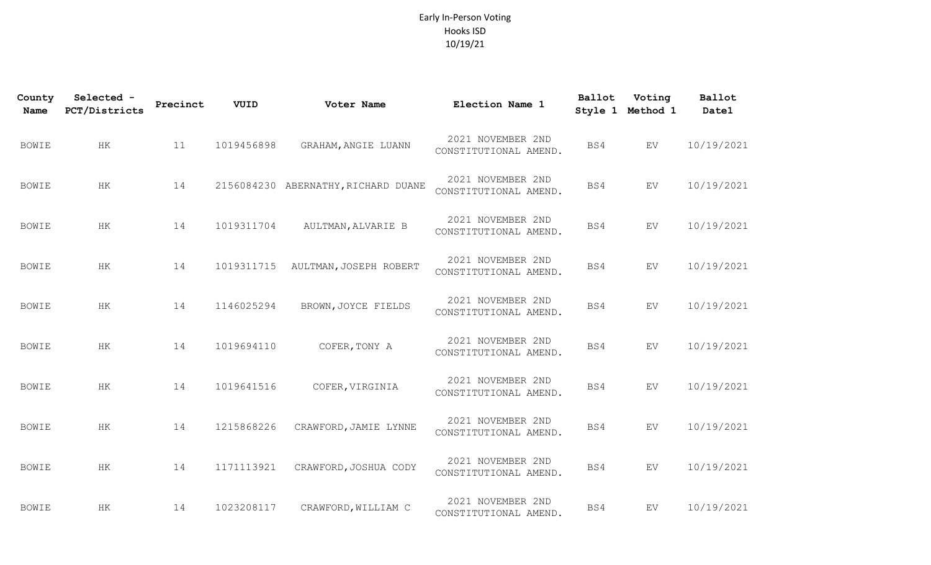## Early In-Person Voting Hooks ISD 10/19/21

| County<br><b>Name</b> | Selected -<br>PCT/Districts | Precinct | VUID       | Voter Name                          | Election Name 1                            | Ballot | Voting<br>Style 1 Method 1 | Ballot<br>Date1 |
|-----------------------|-----------------------------|----------|------------|-------------------------------------|--------------------------------------------|--------|----------------------------|-----------------|
| <b>BOWIE</b>          | $\rm{HK}$                   | 11       | 1019456898 | GRAHAM, ANGIE LUANN                 | 2021 NOVEMBER 2ND<br>CONSTITUTIONAL AMEND. | BS4    | ${\rm EV}$                 | 10/19/2021      |
| <b>BOWIE</b>          | HК                          | 14       |            | 2156084230 ABERNATHY, RICHARD DUANE | 2021 NOVEMBER 2ND<br>CONSTITUTIONAL AMEND. | BS4    | EV                         | 10/19/2021      |
| <b>BOWIE</b>          | HK                          | 14       | 1019311704 | AULTMAN, ALVARIE B                  | 2021 NOVEMBER 2ND<br>CONSTITUTIONAL AMEND. | BS4    | EV                         | 10/19/2021      |
| <b>BOWIE</b>          | HK                          | 14       | 1019311715 | AULTMAN, JOSEPH ROBERT              | 2021 NOVEMBER 2ND<br>CONSTITUTIONAL AMEND. | BS4    | EV                         | 10/19/2021      |
| <b>BOWIE</b>          | HK                          | 14       | 1146025294 | BROWN, JOYCE FIELDS                 | 2021 NOVEMBER 2ND<br>CONSTITUTIONAL AMEND. | BS4    | EV                         | 10/19/2021      |
| <b>BOWIE</b>          | HK                          | 14       | 1019694110 | COFER, TONY A                       | 2021 NOVEMBER 2ND<br>CONSTITUTIONAL AMEND. | BS4    | EV                         | 10/19/2021      |
| <b>BOWIE</b>          | $\rm{HK}$                   | 14       | 1019641516 | COFER, VIRGINIA                     | 2021 NOVEMBER 2ND<br>CONSTITUTIONAL AMEND. | BS4    | EV                         | 10/19/2021      |
| <b>BOWIE</b>          | HK                          | 14       | 1215868226 | CRAWFORD, JAMIE LYNNE               | 2021 NOVEMBER 2ND<br>CONSTITUTIONAL AMEND. | BS4    | EV                         | 10/19/2021      |
| <b>BOWIE</b>          | $\rm{HK}$                   | 14       | 1171113921 | CRAWFORD, JOSHUA CODY               | 2021 NOVEMBER 2ND<br>CONSTITUTIONAL AMEND. | BS4    | EV                         | 10/19/2021      |
| <b>BOWIE</b>          | HK                          | 14       | 1023208117 | CRAWFORD, WILLIAM C                 | 2021 NOVEMBER 2ND<br>CONSTITUTIONAL AMEND. | BS4    | EV                         | 10/19/2021      |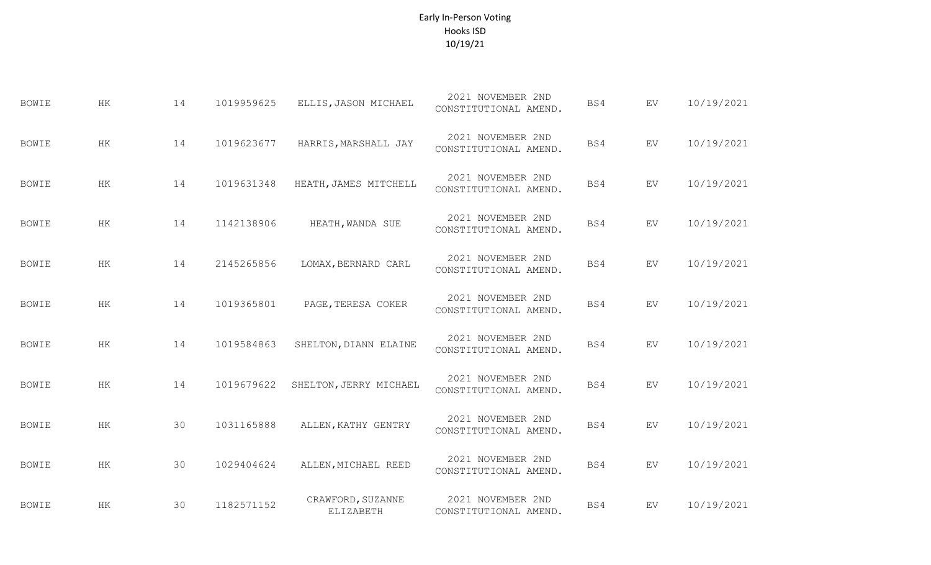## Early In-Person Voting Hooks ISD 10/19/21

| <b>BOWIE</b> | $\rm{HK}$ | 14 | 1019959625 | ELLIS, JASON MICHAEL           | 2021 NOVEMBER 2ND<br>CONSTITUTIONAL AMEND. | BS4 | ${\rm EV}$                 | 10/19/2021 |
|--------------|-----------|----|------------|--------------------------------|--------------------------------------------|-----|----------------------------|------------|
| <b>BOWIE</b> | HK        | 14 | 1019623677 | HARRIS, MARSHALL JAY           | 2021 NOVEMBER 2ND<br>CONSTITUTIONAL AMEND. | BS4 | EV                         | 10/19/2021 |
| <b>BOWIE</b> | HK        | 14 | 1019631348 | HEATH, JAMES MITCHELL          | 2021 NOVEMBER 2ND<br>CONSTITUTIONAL AMEND. | BS4 | ${\rm EV}$                 | 10/19/2021 |
| <b>BOWIE</b> | HK        | 14 | 1142138906 | HEATH, WANDA SUE               | 2021 NOVEMBER 2ND<br>CONSTITUTIONAL AMEND. | BS4 | ${\rm EV}$                 | 10/19/2021 |
| <b>BOWIE</b> | $\rm{HK}$ | 14 | 2145265856 | LOMAX, BERNARD CARL            | 2021 NOVEMBER 2ND<br>CONSTITUTIONAL AMEND. | BS4 | ${\rm EV}$                 | 10/19/2021 |
| <b>BOWIE</b> | HK        | 14 | 1019365801 | PAGE, TERESA COKER             | 2021 NOVEMBER 2ND<br>CONSTITUTIONAL AMEND. | BS4 | ${\rm EV}$                 | 10/19/2021 |
| <b>BOWIE</b> | HK        | 14 | 1019584863 | SHELTON, DIANN ELAINE          | 2021 NOVEMBER 2ND<br>CONSTITUTIONAL AMEND. | BS4 | ${\rm EV}$                 | 10/19/2021 |
| <b>BOWIE</b> | HK        | 14 | 1019679622 | SHELTON, JERRY MICHAEL         | 2021 NOVEMBER 2ND<br>CONSTITUTIONAL AMEND. | BS4 | ${\rm EV}$                 | 10/19/2021 |
| <b>BOWIE</b> | HK        | 30 | 1031165888 | ALLEN, KATHY GENTRY            | 2021 NOVEMBER 2ND<br>CONSTITUTIONAL AMEND. | BS4 | ${\rm EV}$                 | 10/19/2021 |
| <b>BOWIE</b> | $\rm{HK}$ | 30 | 1029404624 | ALLEN, MICHAEL REED            | 2021 NOVEMBER 2ND<br>CONSTITUTIONAL AMEND. | BS4 | $\mathop{\rm EV}\nolimits$ | 10/19/2021 |
| <b>BOWIE</b> | HK        | 30 | 1182571152 | CRAWFORD, SUZANNE<br>ELIZABETH | 2021 NOVEMBER 2ND<br>CONSTITUTIONAL AMEND. | BS4 | EV                         | 10/19/2021 |